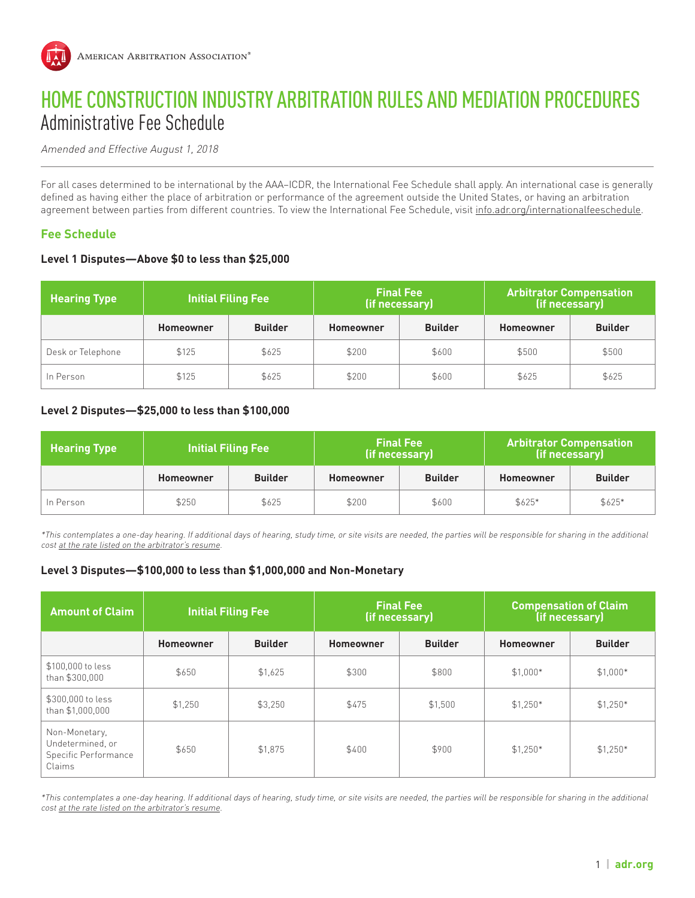

# HOME CONSTRUCTION INDUSTRY ARBITRATION RULES AND MEDIATION PROCEDURES Administrative Fee Schedule

Amended and Effective August 1, 2018

For all cases determined to be international by the AAA–ICDR, the International Fee Schedule shall apply. An international case is generally defined as having either the place of arbitration or performance of the agreement outside the United States, or having an arbitration agreement between parties from different countries. To view the International Fee Schedule, visit info.adr.org/internationalfeeschedule.

# **Fee Schedule**

#### **Level 1 Disputes—Above \$0 to less than \$25,000**

| <b>Hearing Type</b> | <b>Initial Filing Fee</b> |                | <b>Final Fee</b><br>(if necessary) |                | <b>Arbitrator Compensation</b><br>(if necessary) |                |
|---------------------|---------------------------|----------------|------------------------------------|----------------|--------------------------------------------------|----------------|
|                     | <b>Homeowner</b>          | <b>Builder</b> | <b>Homeowner</b>                   | <b>Builder</b> | Homeowner                                        | <b>Builder</b> |
| Desk or Telephone   | \$125                     | \$625          | \$200                              | \$600          | \$500                                            | \$500          |
| In Person           | \$125                     | \$625          | \$200                              | \$600          | \$625                                            | \$625          |

#### **Level 2 Disputes—\$25,000 to less than \$100,000**

| <b>Hearing Type</b> | <b>Initial Filing Fee</b> |                | <b>Final Fee</b><br>(if necessary) |                | <b>Arbitrator Compensation</b><br>(if necessary) |                |
|---------------------|---------------------------|----------------|------------------------------------|----------------|--------------------------------------------------|----------------|
|                     | Homeowner                 | <b>Builder</b> | Homeowner                          | <b>Builder</b> | Homeowner                                        | <b>Builder</b> |
| In Person           | \$250                     | \$625          | \$200                              | \$600          | \$625*                                           | $$625*$        |

\*This contemplates a one-day hearing. If additional days of hearing, study time, or site visits are needed, the parties will be responsible for sharing in the additional cost at the rate listed on the arbitrator's resume.

#### **Level 3 Disputes—\$100,000 to less than \$1,000,000 and Non-Monetary**

| <b>Amount of Claim</b>                                              | <b>Initial Filing Fee</b> |                | <b>Final Fee</b><br>(if necessary) |                | <b>Compensation of Claim</b><br>(if necessary) |                |
|---------------------------------------------------------------------|---------------------------|----------------|------------------------------------|----------------|------------------------------------------------|----------------|
|                                                                     | <b>Homeowner</b>          | <b>Builder</b> | <b>Homeowner</b>                   | <b>Builder</b> | Homeowner                                      | <b>Builder</b> |
| \$100,000 to less<br>than \$300,000                                 | \$650                     | \$1,625        | \$300                              | \$800          | $$1,000*$                                      | $$1,000*$      |
| \$300,000 to less<br>than \$1,000,000                               | \$1,250                   | \$3.250        | \$475                              | \$1,500        | $$1.250*$                                      | $$1,250*$      |
| Non-Monetary,<br>Undetermined, or<br>Specific Performance<br>Claims | \$650                     | \$1,875        | \$400                              | \$900          | $$1.250*$                                      | $$1,250*$      |

\*This contemplates a one-day hearing. If additional days of hearing, study time, or site visits are needed, the parties will be responsible for sharing in the additional cost at the rate listed on the arbitrator's resume.